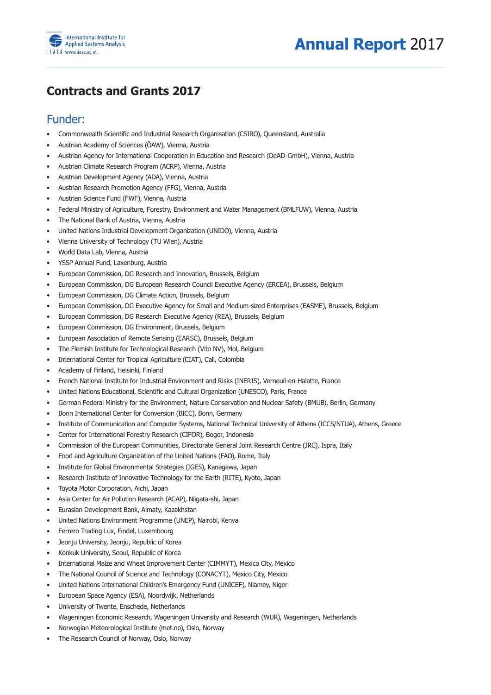

## **Contracts and Grants 2017**

## Funder:

- Commonwealth Scientific and Industrial Research Organisation (CSIRO), Oueensland, Australia
- Austrian Academy of Sciences (ÖAW), Vienna, Austria
- Austrian Agency for International Cooperation in Education and Research (OeAD-GmbH), Vienna, Austria
- Austrian Climate Research Program (ACRP), Vienna, Austria
- Austrian Development Agency (ADA), Vienna, Austria
- • Austrian Research Promotion Agency (FFG), Vienna, Austria
- Austrian Science Fund (FWF), Vienna, Austria
- Federal Ministry of Agriculture, Forestry, Environment and Water Management (BMLFUW), Vienna, Austria
- • The National Bank of Austria, Vienna, Austria
- United Nations Industrial Development Organization (UNIDO), Vienna, Austria
- Vienna University of Technology (TU Wien), Austria
- • World Data Lab, Vienna, Austria
- • YSSP Annual Fund, Laxenburg, Austria
- European Commission, DG Research and Innovation, Brussels, Belgium
- • European Commission, DG European Research Council Executive Agency (ERCEA), Brussels, Belgium
- European Commission, DG Climate Action, Brussels, Belgium
- European Commission, DG Executive Agency for Small and Medium-sized Enterprises (EASME), Brussels, Belgium
- European Commission, DG Research Executive Agency (REA), Brussels, Belgium
- European Commission, DG Environment, Brussels, Belgium
- European Association of Remote Sensing (EARSC), Brussels, Belgium
- The Flemish Institute for Technological Research (Vito NV), Mol, Belgium
- International Center for Tropical Agriculture (CIAT), Cali, Colombia
- Academy of Finland, Helsinki, Finland
- French National Institute for Industrial Environment and Risks (INERIS), Verneuil-en-Halatte, France
- United Nations Educational, Scientific and Cultural Organization (UNESCO), Paris, France
- German Federal Ministry for the Environment, Nature Conservation and Nuclear Safety (BMUB), Berlin, Germany
- Bonn International Center for Conversion (BICC), Bonn, Germany
- Institute of Communication and Computer Systems, National Technical University of Athens (ICCS/NTUA), Athens, Greece
- Center for International Forestry Research (CIFOR), Bogor, Indonesia
- Commission of the European Communities, Directorate General Joint Research Centre (JRC), Ispra, Italy
- Food and Agriculture Organization of the United Nations (FAO), Rome, Italy
- Institute for Global Environmental Strategies (IGES), Kanagawa, Japan
- Research Institute of Innovative Technology for the Earth (RITE), Kyoto, Japan
- Toyota Motor Corporation, Aichi, Japan
- Asia Center for Air Pollution Research (ACAP), Niigata-shi, Japan
- Eurasian Development Bank, Almaty, Kazakhstan
- United Nations Environment Programme (UNEP), Nairobi, Kenya
- Ferrero Trading Lux, Findel, Luxembourg
- Jeonju University, Jeonju, Republic of Korea
- • Konkuk University, Seoul, Republic of Korea
- International Maize and Wheat Improvement Center (CIMMYT), Mexico City, Mexico
- The National Council of Science and Technology (CONACYT), Mexico City, Mexico
- United Nations International Children's Emergency Fund (UNICEF), Niamey, Niger
- European Space Agency (ESA), Noordwijk, Netherlands
- University of Twente, Enschede, Netherlands
- Wageningen Economic Research, Wageningen University and Research (WUR), Wageningen, Netherlands
- Norwegian Meteorological Institute (met.no), Oslo, Norway
- The Research Council of Norway, Oslo, Norway